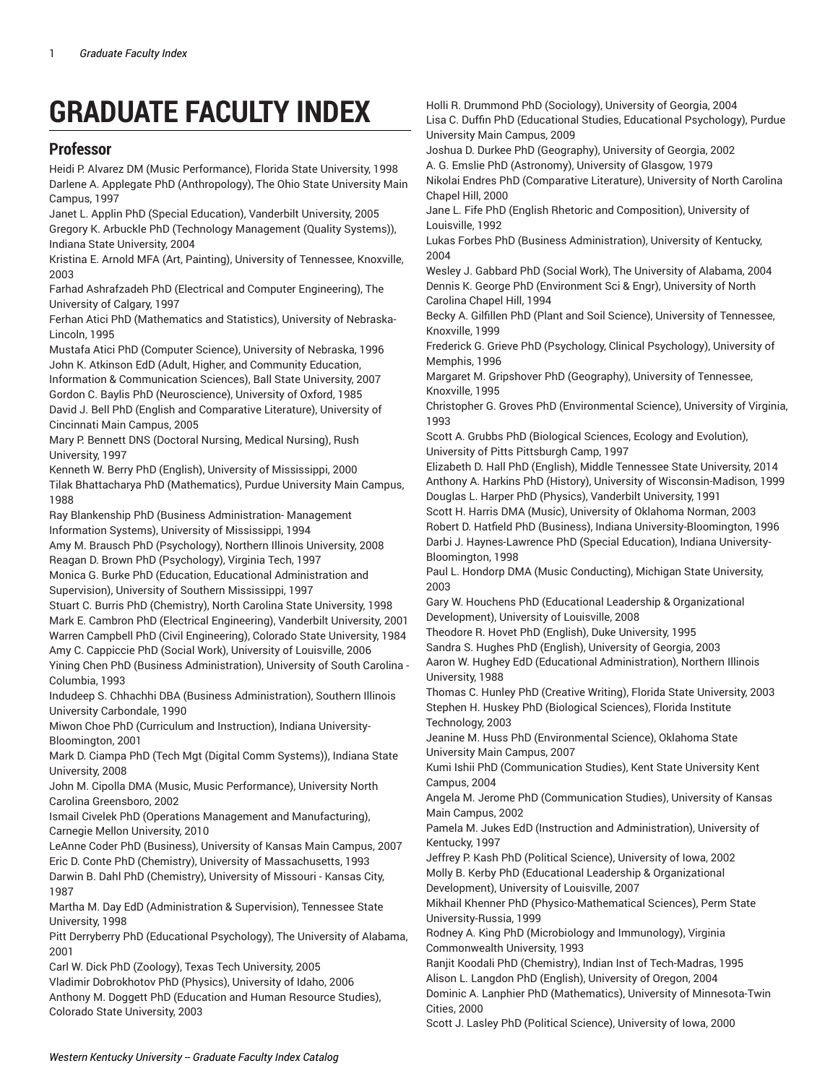# **GRADUATE FACULTY INDEX**

### **Professor**

Heidi P. Alvarez DM (Music Performance), Florida State University, 1998 Darlene A. Applegate PhD (Anthropology), The Ohio State University Main Campus, 1997

Janet L. Applin PhD (Special Education), Vanderbilt University, 2005 Gregory K. Arbuckle PhD (Technology Management (Quality Systems)), Indiana State University, 2004

Kristina E. Arnold MFA (Art, Painting), University of Tennessee, Knoxville, 2003

Farhad Ashrafzadeh PhD (Electrical and Computer Engineering), The University of Calgary, 1997

Ferhan Atici PhD (Mathematics and Statistics), University of Nebraska-Lincoln, 1995

Mustafa Atici PhD (Computer Science), University of Nebraska, 1996 John K. Atkinson EdD (Adult, Higher, and Community Education, Information & Communication Sciences), Ball State University, 2007

Gordon C. Baylis PhD (Neuroscience), University of Oxford, 1985 David J. Bell PhD (English and Comparative Literature), University of Cincinnati Main Campus, 2005

Mary P. Bennett DNS (Doctoral Nursing, Medical Nursing), Rush University, 1997

Kenneth W. Berry PhD (English), University of Mississippi, 2000 Tilak Bhattacharya PhD (Mathematics), Purdue University Main Campus, 1988

Ray Blankenship PhD (Business Administration- Management Information Systems), University of Mississippi, 1994

Amy M. Brausch PhD (Psychology), Northern Illinois University, 2008 Reagan D. Brown PhD (Psychology), Virginia Tech, 1997

Monica G. Burke PhD (Education, Educational Administration and Supervision), University of Southern Mississippi, 1997

Stuart C. Burris PhD (Chemistry), North Carolina State University, 1998 Mark E. Cambron PhD (Electrical Engineering), Vanderbilt University, 2001 Warren Campbell PhD (Civil Engineering), Colorado State University, 1984

Amy C. Cappiccie PhD (Social Work), University of Louisville, 2006

Yining Chen PhD (Business Administration), University of South Carolina - Columbia, 1993

Indudeep S. Chhachhi DBA (Business Administration), Southern Illinois University Carbondale, 1990

Miwon Choe PhD (Curriculum and Instruction), Indiana University-Bloomington, 2001

Mark D. Ciampa PhD (Tech Mgt (Digital Comm Systems)), Indiana State University, 2008

John M. Cipolla DMA (Music, Music Performance), University North Carolina Greensboro, 2002

Ismail Civelek PhD (Operations Management and Manufacturing), Carnegie Mellon University, 2010

LeAnne Coder PhD (Business), University of Kansas Main Campus, 2007 Eric D. Conte PhD (Chemistry), University of Massachusetts, 1993 Darwin B. Dahl PhD (Chemistry), University of Missouri - Kansas City, 1987

Martha M. Day EdD (Administration & Supervision), Tennessee State University, 1998

Pitt Derryberry PhD (Educational Psychology), The University of Alabama, 2001

Carl W. Dick PhD (Zoology), Texas Tech University, 2005 Vladimir Dobrokhotov PhD (Physics), University of Idaho, 2006 Anthony M. Doggett PhD (Education and Human Resource Studies), Colorado State University, 2003

Holli R. Drummond PhD (Sociology), University of Georgia, 2004 Lisa C. Duffin PhD (Educational Studies, Educational Psychology), Purdue University Main Campus, 2009

Joshua D. Durkee PhD (Geography), University of Georgia, 2002

A. G. Emslie PhD (Astronomy), University of Glasgow, 1979 Nikolai Endres PhD (Comparative Literature), University of North Carolina Chapel Hill, 2000

Jane L. Fife PhD (English Rhetoric and Composition), University of Louisville, 1992

Lukas Forbes PhD (Business Administration), University of Kentucky, 2004

Wesley J. Gabbard PhD (Social Work), The University of Alabama, 2004 Dennis K. George PhD (Environment Sci & Engr), University of North Carolina Chapel Hill, 1994

Becky A. Gilfillen PhD (Plant and Soil Science), University of Tennessee, Knoxville, 1999

Frederick G. Grieve PhD (Psychology, Clinical Psychology), University of Memphis, 1996

Margaret M. Gripshover PhD (Geography), University of Tennessee, Knoxville, 1995

Christopher G. Groves PhD (Environmental Science), University of Virginia, 1993

Scott A. Grubbs PhD (Biological Sciences, Ecology and Evolution), University of Pitts Pittsburgh Camp, 1997

Elizabeth D. Hall PhD (English), Middle Tennessee State University, 2014 Anthony A. Harkins PhD (History), University of Wisconsin-Madison, 1999 Douglas L. Harper PhD (Physics), Vanderbilt University, 1991

Scott H. Harris DMA (Music), University of Oklahoma Norman, 2003 Robert D. Hatfield PhD (Business), Indiana University-Bloomington, 1996 Darbi J. Haynes-Lawrence PhD (Special Education), Indiana University-Bloomington, 1998

Paul L. Hondorp DMA (Music Conducting), Michigan State University, 2003

Gary W. Houchens PhD (Educational Leadership & Organizational Development), University of Louisville, 2008

Theodore R. Hovet PhD (English), Duke University, 1995

Sandra S. Hughes PhD (English), University of Georgia, 2003 Aaron W. Hughey EdD (Educational Administration), Northern Illinois

University, 1988 Thomas C. Hunley PhD (Creative Writing), Florida State University, 2003

Stephen H. Huskey PhD (Biological Sciences), Florida Institute Technology, 2003

Jeanine M. Huss PhD (Environmental Science), Oklahoma State University Main Campus, 2007

Kumi Ishii PhD (Communication Studies), Kent State University Kent Campus, 2004

Angela M. Jerome PhD (Communication Studies), University of Kansas Main Campus, 2002

Pamela M. Jukes EdD (Instruction and Administration), University of Kentucky, 1997

Jeffrey P. Kash PhD (Political Science), University of Iowa, 2002 Molly B. Kerby PhD (Educational Leadership & Organizational Development), University of Louisville, 2007

Mikhail Khenner PhD (Physico-Mathematical Sciences), Perm State University-Russia, 1999

Rodney A. King PhD (Microbiology and Immunology), Virginia Commonwealth University, 1993

Ranjit Koodali PhD (Chemistry), Indian Inst of Tech-Madras, 1995 Alison L. Langdon PhD (English), University of Oregon, 2004 Dominic A. Lanphier PhD (Mathematics), University of Minnesota-Twin

Cities, 2000

Scott J. Lasley PhD (Political Science), University of Iowa, 2000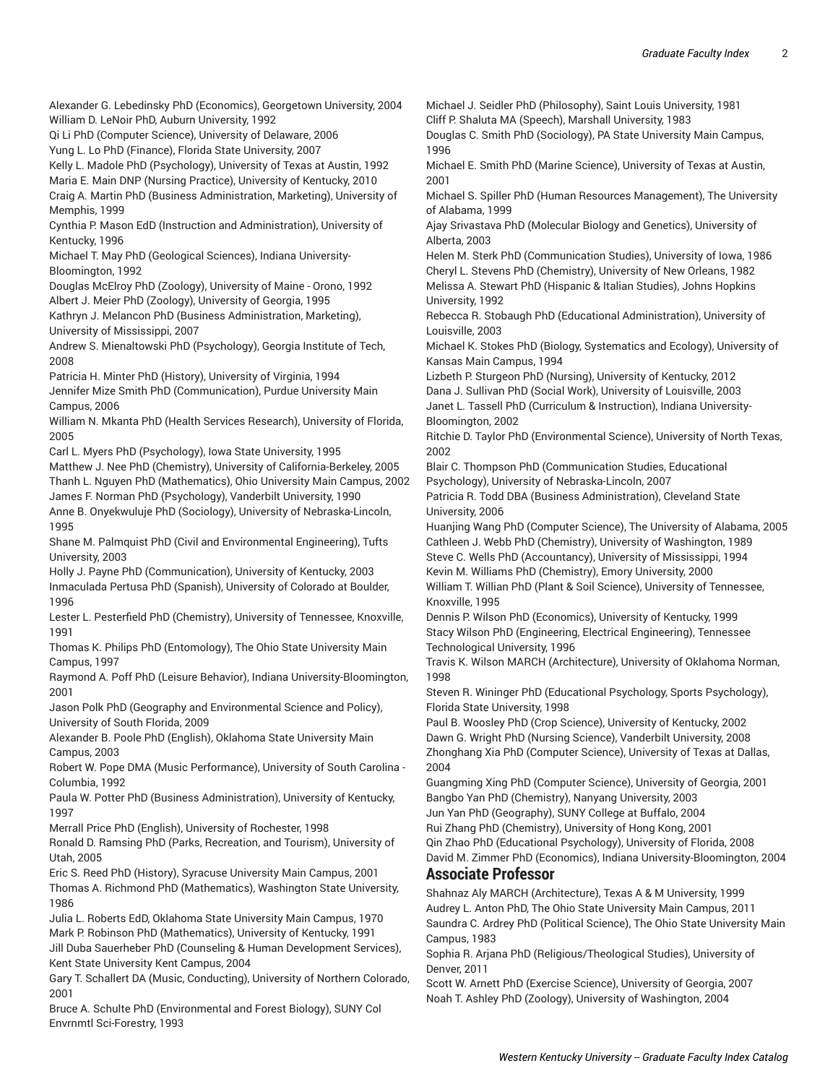Alexander G. Lebedinsky PhD (Economics), Georgetown University, 2004 William D. LeNoir PhD, Auburn University, 1992

Qi Li PhD (Computer Science), University of Delaware, 2006

Yung L. Lo PhD (Finance), Florida State University, 2007

Kelly L. Madole PhD (Psychology), University of Texas at Austin, 1992

Maria E. Main DNP (Nursing Practice), University of Kentucky, 2010 Craig A. Martin PhD (Business Administration, Marketing), University of Memphis, 1999

Cynthia P. Mason EdD (Instruction and Administration), University of Kentucky, 1996

Michael T. May PhD (Geological Sciences), Indiana University-Bloomington, 1992

Douglas McElroy PhD (Zoology), University of Maine - Orono, 1992 Albert J. Meier PhD (Zoology), University of Georgia, 1995

Kathryn J. Melancon PhD (Business Administration, Marketing), University of Mississippi, 2007

Andrew S. Mienaltowski PhD (Psychology), Georgia Institute of Tech, 2008

Patricia H. Minter PhD (History), University of Virginia, 1994 Jennifer Mize Smith PhD (Communication), Purdue University Main Campus, 2006

William N. Mkanta PhD (Health Services Research), University of Florida, 2005

Carl L. Myers PhD (Psychology), Iowa State University, 1995

Matthew J. Nee PhD (Chemistry), University of California-Berkeley, 2005 Thanh L. Nguyen PhD (Mathematics), Ohio University Main Campus, 2002 James F. Norman PhD (Psychology), Vanderbilt University, 1990

Anne B. Onyekwuluje PhD (Sociology), University of Nebraska-Lincoln, 1995

Shane M. Palmquist PhD (Civil and Environmental Engineering), Tufts University, 2003

Holly J. Payne PhD (Communication), University of Kentucky, 2003 Inmaculada Pertusa PhD (Spanish), University of Colorado at Boulder, 1996

Lester L. Pesterfield PhD (Chemistry), University of Tennessee, Knoxville, 1991

Thomas K. Philips PhD (Entomology), The Ohio State University Main Campus, 1997

Raymond A. Poff PhD (Leisure Behavior), Indiana University-Bloomington, 2001

Jason Polk PhD (Geography and Environmental Science and Policy), University of South Florida, 2009

Alexander B. Poole PhD (English), Oklahoma State University Main Campus, 2003

Robert W. Pope DMA (Music Performance), University of South Carolina - Columbia, 1992

Paula W. Potter PhD (Business Administration), University of Kentucky, 1997

Merrall Price PhD (English), University of Rochester, 1998

Ronald D. Ramsing PhD (Parks, Recreation, and Tourism), University of Utah, 2005

Eric S. Reed PhD (History), Syracuse University Main Campus, 2001 Thomas A. Richmond PhD (Mathematics), Washington State University, 1986

Julia L. Roberts EdD, Oklahoma State University Main Campus, 1970

Mark P. Robinson PhD (Mathematics), University of Kentucky, 1991 Jill Duba Sauerheber PhD (Counseling & Human Development Services), Kent State University Kent Campus, 2004

Gary T. Schallert DA (Music, Conducting), University of Northern Colorado, 2001

Bruce A. Schulte PhD (Environmental and Forest Biology), SUNY Col Envrnmtl Sci-Forestry, 1993

Michael J. Seidler PhD (Philosophy), Saint Louis University, 1981 Cliff P. Shaluta MA (Speech), Marshall University, 1983

Douglas C. Smith PhD (Sociology), PA State University Main Campus, 1996

Michael E. Smith PhD (Marine Science), University of Texas at Austin, 2001

Michael S. Spiller PhD (Human Resources Management), The University of Alabama, 1999

Ajay Srivastava PhD (Molecular Biology and Genetics), University of Alberta, 2003

Helen M. Sterk PhD (Communication Studies), University of Iowa, 1986 Cheryl L. Stevens PhD (Chemistry), University of New Orleans, 1982 Melissa A. Stewart PhD (Hispanic & Italian Studies), Johns Hopkins University, 1992

Rebecca R. Stobaugh PhD (Educational Administration), University of Louisville, 2003

Michael K. Stokes PhD (Biology, Systematics and Ecology), University of Kansas Main Campus, 1994

Lizbeth P. Sturgeon PhD (Nursing), University of Kentucky, 2012

Dana J. Sullivan PhD (Social Work), University of Louisville, 2003 Janet L. Tassell PhD (Curriculum & Instruction), Indiana University-

Bloomington, 2002

Ritchie D. Taylor PhD (Environmental Science), University of North Texas, 2002

Blair C. Thompson PhD (Communication Studies, Educational Psychology), University of Nebraska-Lincoln, 2007

Patricia R. Todd DBA (Business Administration), Cleveland State University, 2006

Huanjing Wang PhD (Computer Science), The University of Alabama, 2005 Cathleen J. Webb PhD (Chemistry), University of Washington, 1989 Steve C. Wells PhD (Accountancy), University of Mississippi, 1994

Kevin M. Williams PhD (Chemistry), Emory University, 2000

William T. Willian PhD (Plant & Soil Science), University of Tennessee, Knoxville, 1995

Dennis P. Wilson PhD (Economics), University of Kentucky, 1999 Stacy Wilson PhD (Engineering, Electrical Engineering), Tennessee Technological University, 1996

Travis K. Wilson MARCH (Architecture), University of Oklahoma Norman, 1998

Steven R. Wininger PhD (Educational Psychology, Sports Psychology), Florida State University, 1998

Paul B. Woosley PhD (Crop Science), University of Kentucky, 2002 Dawn G. Wright PhD (Nursing Science), Vanderbilt University, 2008 Zhonghang Xia PhD (Computer Science), University of Texas at Dallas, 2004

Guangming Xing PhD (Computer Science), University of Georgia, 2001 Bangbo Yan PhD (Chemistry), Nanyang University, 2003

Jun Yan PhD (Geography), SUNY College at Buffalo, 2004 Rui Zhang PhD (Chemistry), University of Hong Kong, 2001

Qin Zhao PhD (Educational Psychology), University of Florida, 2008

David M. Zimmer PhD (Economics), Indiana University-Bloomington, 2004 **Associate Professor**

Shahnaz Aly MARCH (Architecture), Texas A & M University, 1999 Audrey L. Anton PhD, The Ohio State University Main Campus, 2011 Saundra C. Ardrey PhD (Political Science), The Ohio State University Main Campus, 1983

Sophia R. Arjana PhD (Religious/Theological Studies), University of Denver, 2011

Scott W. Arnett PhD (Exercise Science), University of Georgia, 2007 Noah T. Ashley PhD (Zoology), University of Washington, 2004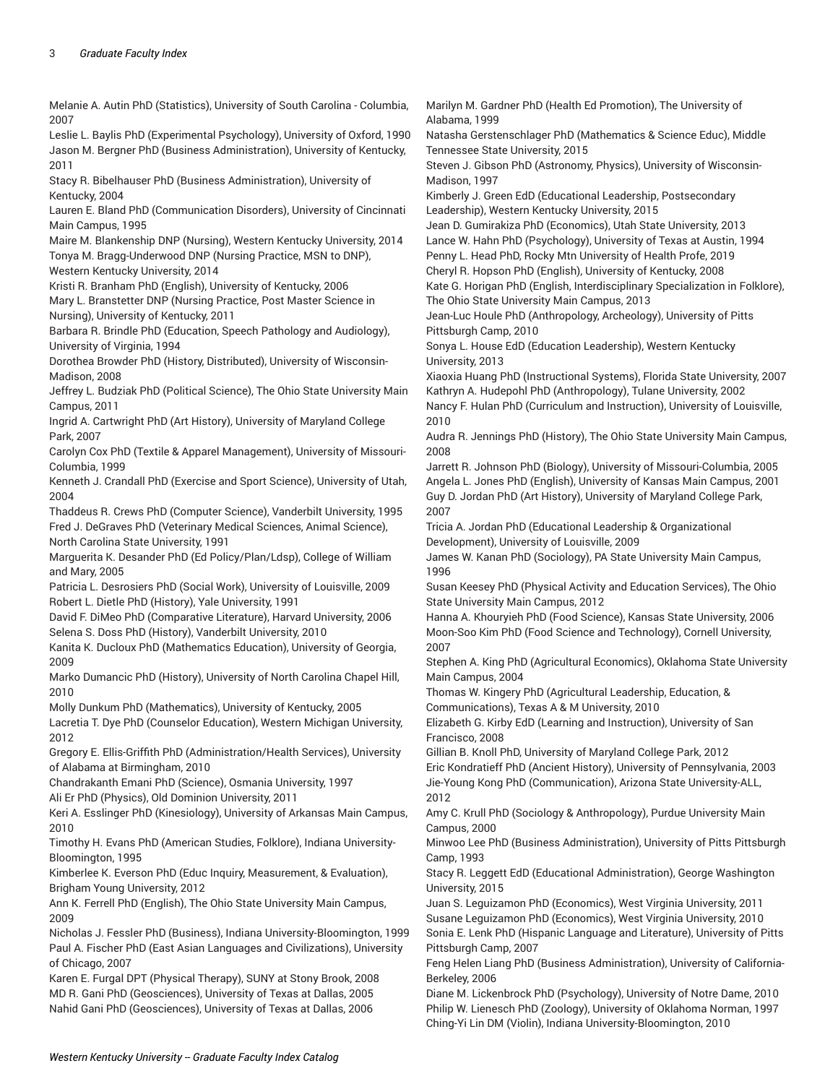Melanie A. Autin PhD (Statistics), University of South Carolina - Columbia, 2007

Leslie L. Baylis PhD (Experimental Psychology), University of Oxford, 1990 Jason M. Bergner PhD (Business Administration), University of Kentucky, 2011

Stacy R. Bibelhauser PhD (Business Administration), University of Kentucky, 2004

Lauren E. Bland PhD (Communication Disorders), University of Cincinnati Main Campus, 1995

Maire M. Blankenship DNP (Nursing), Western Kentucky University, 2014 Tonya M. Bragg-Underwood DNP (Nursing Practice, MSN to DNP),

Western Kentucky University, 2014 Kristi R. Branham PhD (English), University of Kentucky, 2006

Mary L. Branstetter DNP (Nursing Practice, Post Master Science in Nursing), University of Kentucky, 2011

Barbara R. Brindle PhD (Education, Speech Pathology and Audiology), University of Virginia, 1994

Dorothea Browder PhD (History, Distributed), University of Wisconsin-Madison, 2008

Jeffrey L. Budziak PhD (Political Science), The Ohio State University Main Campus, 2011

Ingrid A. Cartwright PhD (Art History), University of Maryland College Park, 2007

Carolyn Cox PhD (Textile & Apparel Management), University of Missouri-Columbia, 1999

Kenneth J. Crandall PhD (Exercise and Sport Science), University of Utah, 2004

Thaddeus R. Crews PhD (Computer Science), Vanderbilt University, 1995 Fred J. DeGraves PhD (Veterinary Medical Sciences, Animal Science), North Carolina State University, 1991

Marguerita K. Desander PhD (Ed Policy/Plan/Ldsp), College of William and Mary, 2005

Patricia L. Desrosiers PhD (Social Work), University of Louisville, 2009 Robert L. Dietle PhD (History), Yale University, 1991

David F. DiMeo PhD (Comparative Literature), Harvard University, 2006 Selena S. Doss PhD (History), Vanderbilt University, 2010

Kanita K. Ducloux PhD (Mathematics Education), University of Georgia, 2009

Marko Dumancic PhD (History), University of North Carolina Chapel Hill, 2010

Molly Dunkum PhD (Mathematics), University of Kentucky, 2005 Lacretia T. Dye PhD (Counselor Education), Western Michigan University,

2012

Gregory E. Ellis-Griffith PhD (Administration/Health Services), University of Alabama at Birmingham, 2010

Chandrakanth Emani PhD (Science), Osmania University, 1997

Ali Er PhD (Physics), Old Dominion University, 2011

Keri A. Esslinger PhD (Kinesiology), University of Arkansas Main Campus, 2010

Timothy H. Evans PhD (American Studies, Folklore), Indiana University-Bloomington, 1995

Kimberlee K. Everson PhD (Educ Inquiry, Measurement, & Evaluation), Brigham Young University, 2012

Ann K. Ferrell PhD (English), The Ohio State University Main Campus, 2009

Nicholas J. Fessler PhD (Business), Indiana University-Bloomington, 1999 Paul A. Fischer PhD (East Asian Languages and Civilizations), University of Chicago, 2007

Karen E. Furgal DPT (Physical Therapy), SUNY at Stony Brook, 2008 MD R. Gani PhD (Geosciences), University of Texas at Dallas, 2005 Nahid Gani PhD (Geosciences), University of Texas at Dallas, 2006

Marilyn M. Gardner PhD (Health Ed Promotion), The University of Alabama, 1999

Natasha Gerstenschlager PhD (Mathematics & Science Educ), Middle Tennessee State University, 2015

Steven J. Gibson PhD (Astronomy, Physics), University of Wisconsin-Madison, 1997

Kimberly J. Green EdD (Educational Leadership, Postsecondary Leadership), Western Kentucky University, 2015

Jean D. Gumirakiza PhD (Economics), Utah State University, 2013 Lance W. Hahn PhD (Psychology), University of Texas at Austin, 1994

Penny L. Head PhD, Rocky Mtn University of Health Profe, 2019 Cheryl R. Hopson PhD (English), University of Kentucky, 2008

Kate G. Horigan PhD (English, Interdisciplinary Specialization in Folklore), The Ohio State University Main Campus, 2013

Jean-Luc Houle PhD (Anthropology, Archeology), University of Pitts Pittsburgh Camp, 2010

Sonya L. House EdD (Education Leadership), Western Kentucky University, 2013

Xiaoxia Huang PhD (Instructional Systems), Florida State University, 2007 Kathryn A. Hudepohl PhD (Anthropology), Tulane University, 2002

Nancy F. Hulan PhD (Curriculum and Instruction), University of Louisville, 2010

Audra R. Jennings PhD (History), The Ohio State University Main Campus, 2008

Jarrett R. Johnson PhD (Biology), University of Missouri-Columbia, 2005 Angela L. Jones PhD (English), University of Kansas Main Campus, 2001 Guy D. Jordan PhD (Art History), University of Maryland College Park, 2007

Tricia A. Jordan PhD (Educational Leadership & Organizational Development), University of Louisville, 2009

James W. Kanan PhD (Sociology), PA State University Main Campus, 1996

Susan Keesey PhD (Physical Activity and Education Services), The Ohio State University Main Campus, 2012

Hanna A. Khouryieh PhD (Food Science), Kansas State University, 2006 Moon-Soo Kim PhD (Food Science and Technology), Cornell University, 2007

Stephen A. King PhD (Agricultural Economics), Oklahoma State University Main Campus, 2004

Thomas W. Kingery PhD (Agricultural Leadership, Education, & Communications), Texas A & M University, 2010

Elizabeth G. Kirby EdD (Learning and Instruction), University of San Francisco, 2008

Gillian B. Knoll PhD, University of Maryland College Park, 2012 Eric Kondratieff PhD (Ancient History), University of Pennsylvania, 2003 Jie-Young Kong PhD (Communication), Arizona State University-ALL, 2012

Amy C. Krull PhD (Sociology & Anthropology), Purdue University Main Campus, 2000

Minwoo Lee PhD (Business Administration), University of Pitts Pittsburgh Camp, 1993

Stacy R. Leggett EdD (Educational Administration), George Washington University, 2015

Juan S. Leguizamon PhD (Economics), West Virginia University, 2011 Susane Leguizamon PhD (Economics), West Virginia University, 2010 Sonia E. Lenk PhD (Hispanic Language and Literature), University of Pitts Pittsburgh Camp, 2007

Feng Helen Liang PhD (Business Administration), University of California-Berkeley, 2006

Diane M. Lickenbrock PhD (Psychology), University of Notre Dame, 2010 Philip W. Lienesch PhD (Zoology), University of Oklahoma Norman, 1997 Ching-Yi Lin DM (Violin), Indiana University-Bloomington, 2010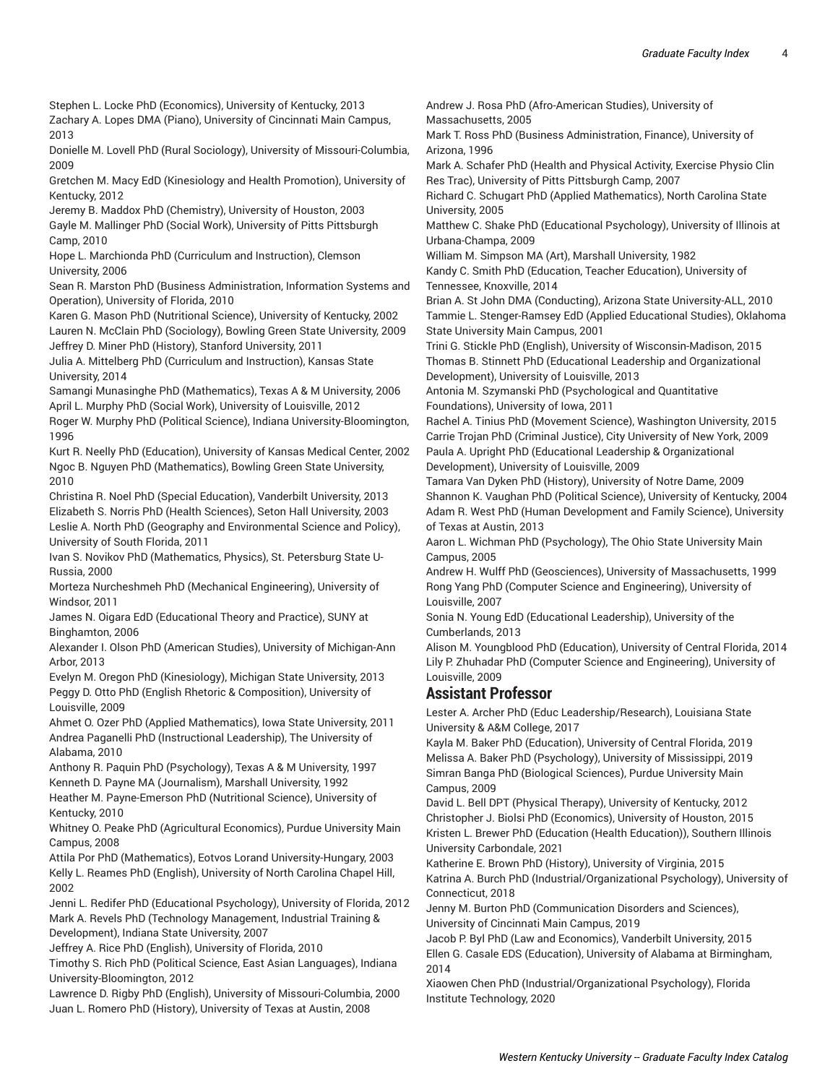Stephen L. Locke PhD (Economics), University of Kentucky, 2013

Zachary A. Lopes DMA (Piano), University of Cincinnati Main Campus, 2013

Donielle M. Lovell PhD (Rural Sociology), University of Missouri-Columbia, 2009

Gretchen M. Macy EdD (Kinesiology and Health Promotion), University of Kentucky, 2012

Jeremy B. Maddox PhD (Chemistry), University of Houston, 2003 Gayle M. Mallinger PhD (Social Work), University of Pitts Pittsburgh Camp, 2010

Hope L. Marchionda PhD (Curriculum and Instruction), Clemson University, 2006

Sean R. Marston PhD (Business Administration, Information Systems and Operation), University of Florida, 2010

Karen G. Mason PhD (Nutritional Science), University of Kentucky, 2002 Lauren N. McClain PhD (Sociology), Bowling Green State University, 2009 Jeffrey D. Miner PhD (History), Stanford University, 2011

Julia A. Mittelberg PhD (Curriculum and Instruction), Kansas State University, 2014

Samangi Munasinghe PhD (Mathematics), Texas A & M University, 2006 April L. Murphy PhD (Social Work), University of Louisville, 2012

Roger W. Murphy PhD (Political Science), Indiana University-Bloomington, 1996

Kurt R. Neelly PhD (Education), University of Kansas Medical Center, 2002 Ngoc B. Nguyen PhD (Mathematics), Bowling Green State University, 2010

Christina R. Noel PhD (Special Education), Vanderbilt University, 2013 Elizabeth S. Norris PhD (Health Sciences), Seton Hall University, 2003 Leslie A. North PhD (Geography and Environmental Science and Policy), University of South Florida, 2011

Ivan S. Novikov PhD (Mathematics, Physics), St. Petersburg State U-Russia, 2000

Morteza Nurcheshmeh PhD (Mechanical Engineering), University of Windsor, 2011

James N. Oigara EdD (Educational Theory and Practice), SUNY at Binghamton, 2006

Alexander I. Olson PhD (American Studies), University of Michigan-Ann Arbor, 2013

Evelyn M. Oregon PhD (Kinesiology), Michigan State University, 2013 Peggy D. Otto PhD (English Rhetoric & Composition), University of Louisville, 2009

Ahmet O. Ozer PhD (Applied Mathematics), Iowa State University, 2011 Andrea Paganelli PhD (Instructional Leadership), The University of Alabama, 2010

Anthony R. Paquin PhD (Psychology), Texas A & M University, 1997 Kenneth D. Payne MA (Journalism), Marshall University, 1992

Heather M. Payne-Emerson PhD (Nutritional Science), University of Kentucky, 2010

Whitney O. Peake PhD (Agricultural Economics), Purdue University Main Campus, 2008

Attila Por PhD (Mathematics), Eotvos Lorand University-Hungary, 2003 Kelly L. Reames PhD (English), University of North Carolina Chapel Hill, 2002

Jenni L. Redifer PhD (Educational Psychology), University of Florida, 2012 Mark A. Revels PhD (Technology Management, Industrial Training & Development), Indiana State University, 2007

Jeffrey A. Rice PhD (English), University of Florida, 2010

Timothy S. Rich PhD (Political Science, East Asian Languages), Indiana University-Bloomington, 2012

Lawrence D. Rigby PhD (English), University of Missouri-Columbia, 2000 Juan L. Romero PhD (History), University of Texas at Austin, 2008

Andrew J. Rosa PhD (Afro-American Studies), University of Massachusetts, 2005

Mark T. Ross PhD (Business Administration, Finance), University of Arizona, 1996

Mark A. Schafer PhD (Health and Physical Activity, Exercise Physio Clin Res Trac), University of Pitts Pittsburgh Camp, 2007

Richard C. Schugart PhD (Applied Mathematics), North Carolina State University, 2005

Matthew C. Shake PhD (Educational Psychology), University of Illinois at Urbana-Champa, 2009

William M. Simpson MA (Art), Marshall University, 1982

Kandy C. Smith PhD (Education, Teacher Education), University of Tennessee, Knoxville, 2014

Brian A. St John DMA (Conducting), Arizona State University-ALL, 2010 Tammie L. Stenger-Ramsey EdD (Applied Educational Studies), Oklahoma State University Main Campus, 2001

Trini G. Stickle PhD (English), University of Wisconsin-Madison, 2015 Thomas B. Stinnett PhD (Educational Leadership and Organizational Development), University of Louisville, 2013

Antonia M. Szymanski PhD (Psychological and Quantitative Foundations), University of Iowa, 2011

Rachel A. Tinius PhD (Movement Science), Washington University, 2015 Carrie Trojan PhD (Criminal Justice), City University of New York, 2009 Paula A. Upright PhD (Educational Leadership & Organizational Development), University of Louisville, 2009

Tamara Van Dyken PhD (History), University of Notre Dame, 2009 Shannon K. Vaughan PhD (Political Science), University of Kentucky, 2004 Adam R. West PhD (Human Development and Family Science), University of Texas at Austin, 2013

Aaron L. Wichman PhD (Psychology), The Ohio State University Main Campus, 2005

Andrew H. Wulff PhD (Geosciences), University of Massachusetts, 1999 Rong Yang PhD (Computer Science and Engineering), University of Louisville, 2007

Sonia N. Young EdD (Educational Leadership), University of the Cumberlands, 2013

Alison M. Youngblood PhD (Education), University of Central Florida, 2014 Lily P. Zhuhadar PhD (Computer Science and Engineering), University of Louisville, 2009

#### **Assistant Professor**

Lester A. Archer PhD (Educ Leadership/Research), Louisiana State University & A&M College, 2017

Kayla M. Baker PhD (Education), University of Central Florida, 2019 Melissa A. Baker PhD (Psychology), University of Mississippi, 2019 Simran Banga PhD (Biological Sciences), Purdue University Main Campus, 2009

David L. Bell DPT (Physical Therapy), University of Kentucky, 2012 Christopher J. Biolsi PhD (Economics), University of Houston, 2015 Kristen L. Brewer PhD (Education (Health Education)), Southern Illinois University Carbondale, 2021

Katherine E. Brown PhD (History), University of Virginia, 2015 Katrina A. Burch PhD (Industrial/Organizational Psychology), University of Connecticut, 2018

Jenny M. Burton PhD (Communication Disorders and Sciences), University of Cincinnati Main Campus, 2019

Jacob P. Byl PhD (Law and Economics), Vanderbilt University, 2015 Ellen G. Casale EDS (Education), University of Alabama at Birmingham, 2014

Xiaowen Chen PhD (Industrial/Organizational Psychology), Florida Institute Technology, 2020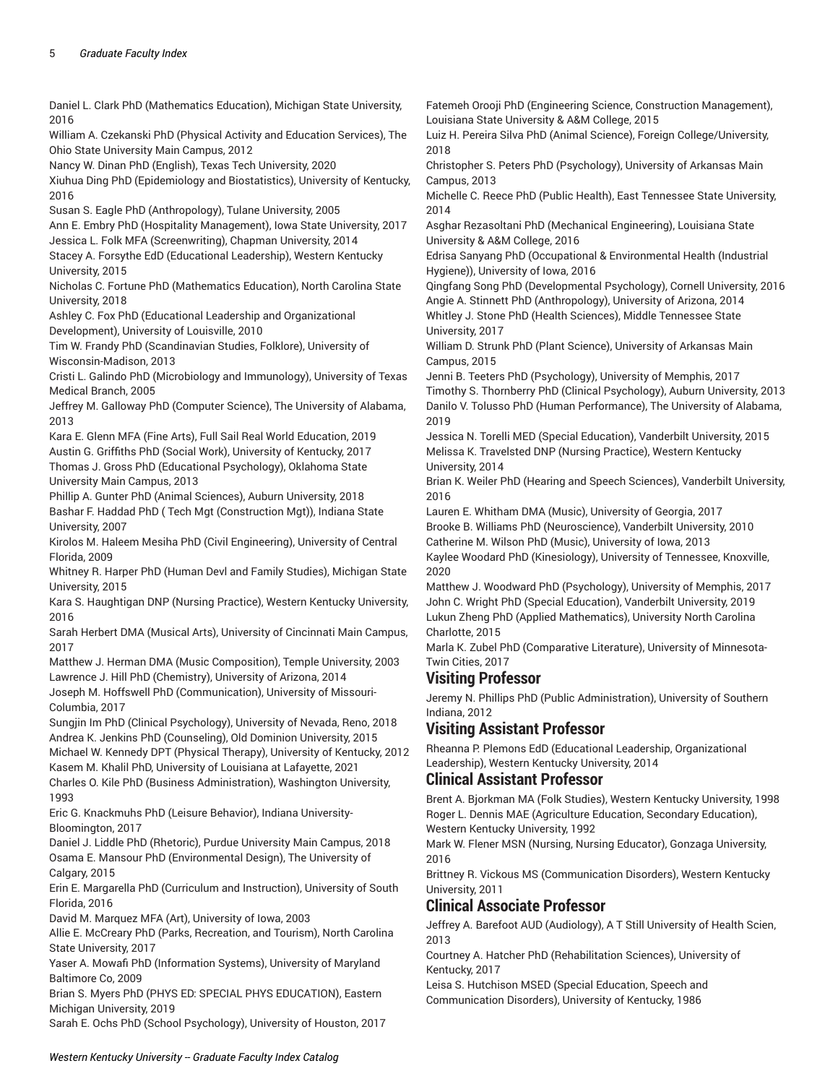Daniel L. Clark PhD (Mathematics Education), Michigan State University, 2016 William A. Czekanski PhD (Physical Activity and Education Services), The Ohio State University Main Campus, 2012 Nancy W. Dinan PhD (English), Texas Tech University, 2020 Xiuhua Ding PhD (Epidemiology and Biostatistics), University of Kentucky, 2016 Susan S. Eagle PhD (Anthropology), Tulane University, 2005 Ann E. Embry PhD (Hospitality Management), Iowa State University, 2017 Jessica L. Folk MFA (Screenwriting), Chapman University, 2014 Stacey A. Forsythe EdD (Educational Leadership), Western Kentucky University, 2015 Nicholas C. Fortune PhD (Mathematics Education), North Carolina State University, 2018 Ashley C. Fox PhD (Educational Leadership and Organizational Development), University of Louisville, 2010 Tim W. Frandy PhD (Scandinavian Studies, Folklore), University of Wisconsin-Madison, 2013 Cristi L. Galindo PhD (Microbiology and Immunology), University of Texas Medical Branch, 2005 Jeffrey M. Galloway PhD (Computer Science), The University of Alabama, 2013 Kara E. Glenn MFA (Fine Arts), Full Sail Real World Education, 2019 Austin G. Griffiths PhD (Social Work), University of Kentucky, 2017 Thomas J. Gross PhD (Educational Psychology), Oklahoma State University Main Campus, 2013 Phillip A. Gunter PhD (Animal Sciences), Auburn University, 2018 Bashar F. Haddad PhD ( Tech Mgt (Construction Mgt)), Indiana State University, 2007 Kirolos M. Haleem Mesiha PhD (Civil Engineering), University of Central Florida, 2009 Whitney R. Harper PhD (Human Devl and Family Studies), Michigan State University, 2015 Kara S. Haughtigan DNP (Nursing Practice), Western Kentucky University, 2016 Sarah Herbert DMA (Musical Arts), University of Cincinnati Main Campus, 2017 Matthew J. Herman DMA (Music Composition), Temple University, 2003 Lawrence J. Hill PhD (Chemistry), University of Arizona, 2014 Joseph M. Hoffswell PhD (Communication), University of Missouri-Columbia, 2017 Sungjin Im PhD (Clinical Psychology), University of Nevada, Reno, 2018 Andrea K. Jenkins PhD (Counseling), Old Dominion University, 2015 Michael W. Kennedy DPT (Physical Therapy), University of Kentucky, 2012 Kasem M. Khalil PhD, University of Louisiana at Lafayette, 2021 Charles O. Kile PhD (Business Administration), Washington University, 1993 Eric G. Knackmuhs PhD (Leisure Behavior), Indiana University-Bloomington, 2017 Daniel J. Liddle PhD (Rhetoric), Purdue University Main Campus, 2018 Osama E. Mansour PhD (Environmental Design), The University of Calgary, 2015 Erin E. Margarella PhD (Curriculum and Instruction), University of South Florida, 2016 David M. Marquez MFA (Art), University of Iowa, 2003

Allie E. McCreary PhD (Parks, Recreation, and Tourism), North Carolina State University, 2017

Yaser A. Mowafi PhD (Information Systems), University of Maryland Baltimore Co, 2009

Brian S. Myers PhD (PHYS ED: SPECIAL PHYS EDUCATION), Eastern Michigan University, 2019

Sarah E. Ochs PhD (School Psychology), University of Houston, 2017

Fatemeh Orooji PhD (Engineering Science, Construction Management), Louisiana State University & A&M College, 2015

Luiz H. Pereira Silva PhD (Animal Science), Foreign College/University, 2018

Christopher S. Peters PhD (Psychology), University of Arkansas Main Campus, 2013

Michelle C. Reece PhD (Public Health), East Tennessee State University, 2014

Asghar Rezasoltani PhD (Mechanical Engineering), Louisiana State University & A&M College, 2016

Edrisa Sanyang PhD (Occupational & Environmental Health (Industrial Hygiene)), University of Iowa, 2016

Qingfang Song PhD (Developmental Psychology), Cornell University, 2016 Angie A. Stinnett PhD (Anthropology), University of Arizona, 2014 Whitley J. Stone PhD (Health Sciences), Middle Tennessee State University, 2017

William D. Strunk PhD (Plant Science), University of Arkansas Main Campus, 2015

Jenni B. Teeters PhD (Psychology), University of Memphis, 2017 Timothy S. Thornberry PhD (Clinical Psychology), Auburn University, 2013 Danilo V. Tolusso PhD (Human Performance), The University of Alabama, 2019

Jessica N. Torelli MED (Special Education), Vanderbilt University, 2015 Melissa K. Travelsted DNP (Nursing Practice), Western Kentucky University, 2014

Brian K. Weiler PhD (Hearing and Speech Sciences), Vanderbilt University, 2016

Lauren E. Whitham DMA (Music), University of Georgia, 2017 Brooke B. Williams PhD (Neuroscience), Vanderbilt University, 2010

Catherine M. Wilson PhD (Music), University of Iowa, 2013

Kaylee Woodard PhD (Kinesiology), University of Tennessee, Knoxville, 2020

Matthew J. Woodward PhD (Psychology), University of Memphis, 2017 John C. Wright PhD (Special Education), Vanderbilt University, 2019 Lukun Zheng PhD (Applied Mathematics), University North Carolina Charlotte, 2015

Marla K. Zubel PhD (Comparative Literature), University of Minnesota-Twin Cities, 2017

## **Visiting Professor**

Jeremy N. Phillips PhD (Public Administration), University of Southern Indiana, 2012

## **Visiting Assistant Professor**

Rheanna P. Plemons EdD (Educational Leadership, Organizational Leadership), Western Kentucky University, 2014

## **Clinical Assistant Professor**

Brent A. Bjorkman MA (Folk Studies), Western Kentucky University, 1998 Roger L. Dennis MAE (Agriculture Education, Secondary Education), Western Kentucky University, 1992

Mark W. Flener MSN (Nursing, Nursing Educator), Gonzaga University, 2016

Brittney R. Vickous MS (Communication Disorders), Western Kentucky University, 2011

## **Clinical Associate Professor**

Jeffrey A. Barefoot AUD (Audiology), A T Still University of Health Scien, 2013

Courtney A. Hatcher PhD (Rehabilitation Sciences), University of Kentucky, 2017

Leisa S. Hutchison MSED (Special Education, Speech and Communication Disorders), University of Kentucky, 1986